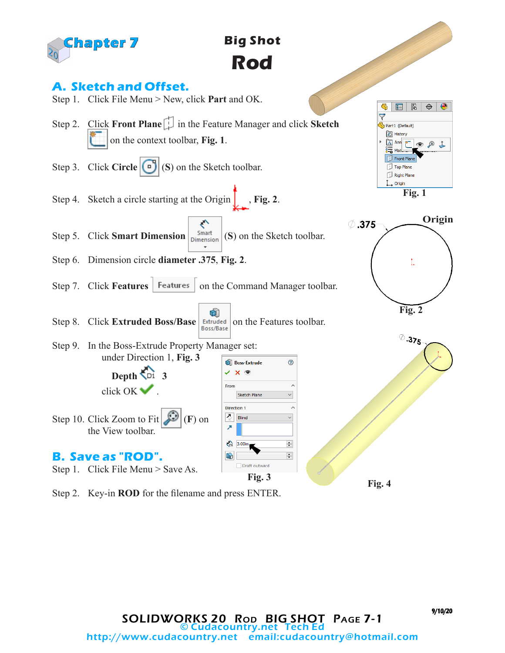

## **Big Shot Rod**

## **A. Sketch and Offset.**

- Step 1. Click File Menu > New, click **Part** and OK.
- Step 2. Click **Front Plane** in the Feature Manager and click **Sketch** on the context toolbar, **Fig. 1**.
- Step 3. Click **Circle** (**S**) (**S**) on the Sketch toolbar.
- Step 4. Sketch a circle starting at the Origin  $\int$ , **Fig. 2**.
- ぐ Step 5. Click **Smart Dimension**  $\begin{bmatrix}$  Smart (S) on the Sketch toolbar.
- Step 6. Dimension circle **diameter .375**, **Fig. 2**.
- Step 7. Click **Features** | Features | on the Command Manager toolbar.
- û Step 8. Click **Extruded Boss/Base** *Extruded* on the Features toolbar.
- Step 9. In the Boss-Extrude Property Manager set: under Direction 1, **Fig. 3**

**Depth 3**

click OK ...

the View toolbar.

**B. Save as "ROD".**









Step 2. Key-in **ROD** for the filename and press ENTER.